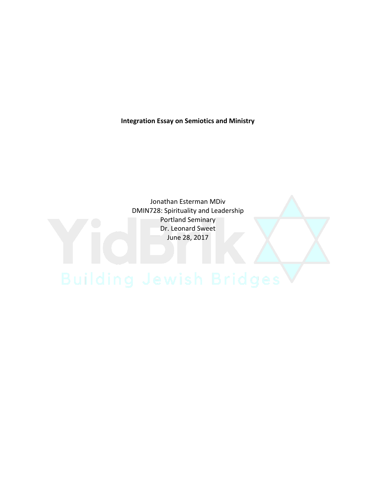**Integration Essay on Semiotics and Ministry**

Jonathan Esterman MDiv DMIN728: Spirituality and Leadership Portland Seminary Dr. Leonard Sweet June 28, 2017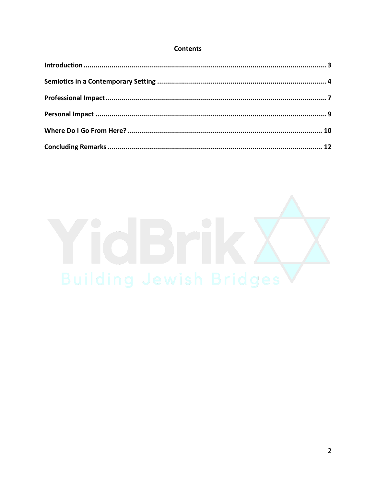# **Contents**

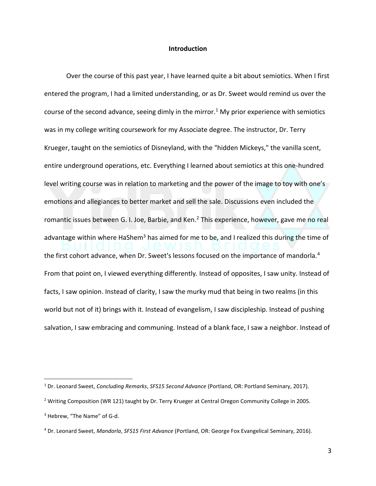### **Introduction**

Over the course of this past year, I have learned quite a bit about semiotics. When I first entered the program, I had a limited understanding, or as Dr. Sweet would remind us over the course of the second advance, seeing dimly in the mirror.<sup>1</sup> My prior experience with semiotics was in my college writing coursework for my Associate degree. The instructor, Dr. Terry Krueger, taught on the semiotics of Disneyland, with the "hidden Mickeys," the vanilla scent, entire underground operations, etc. Everything I learned about semiotics at this one-hundred level writing course was in relation to marketing and the power of the image to toy with one's emotions and allegiances to better market and sell the sale. Discussions even included the romantic issues between G. I. Joe, Barbie, and Ken.<sup>2</sup> This experience, however, gave me no real advantage within where HaShem<sup>3</sup> has aimed for me to be, and I realized this during the time of the first cohort advance, when Dr. Sweet's lessons focused on the importance of mandorla.<sup>4</sup> From that point on, I viewed everything differently. Instead of opposites, I saw unity. Instead of facts, I saw opinion. Instead of clarity, I saw the murky mud that being in two realms (in this world but not of it) brings with it. Instead of evangelism, I saw discipleship. Instead of pushing salvation, I saw embracing and communing. Instead of a blank face, I saw a neighbor. Instead of

<sup>1</sup> Dr. Leonard Sweet, *Concluding Remarks*, *SFS15 Second Advance* (Portland, OR: Portland Seminary, 2017).

<sup>&</sup>lt;sup>2</sup> Writing Composition (WR 121) taught by Dr. Terry Krueger at Central Oregon Community College in 2005.

<sup>&</sup>lt;sup>3</sup> Hebrew, "The Name" of G-d.

<sup>4</sup> Dr. Leonard Sweet, *Mandorla*, *SFS15 First Advance* (Portland, OR: George Fox Evangelical Seminary, 2016).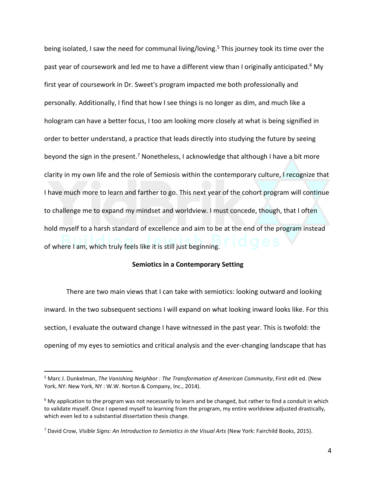being isolated, I saw the need for communal living/loving.<sup>5</sup> This journey took its time over the past year of coursework and led me to have a different view than I originally anticipated.<sup>6</sup> My first year of coursework in Dr. Sweet's program impacted me both professionally and personally. Additionally, I find that how I see things is no longer as dim, and much like a hologram can have a better focus, I too am looking more closely at what is being signified in order to better understand, a practice that leads directly into studying the future by seeing beyond the sign in the present.<sup>7</sup> Nonetheless, I acknowledge that although I have a bit more clarity in my own life and the role of Semiosis within the contemporary culture, I recognize that I have much more to learn and farther to go. This next year of the cohort program will continue to challenge me to expand my mindset and worldview. I must concede, though, that I often hold myself to a harsh standard of excellence and aim to be at the end of the program instead of where I am, which truly feels like it is still just beginning.

# **Semiotics in a Contemporary Setting**

There are two main views that I can take with semiotics: looking outward and looking inward. In the two subsequent sections I will expand on what looking inward looks like. For this section, I evaluate the outward change I have witnessed in the past year. This is twofold: the opening of my eyes to semiotics and critical analysis and the ever-changing landscape that has

<sup>5</sup> Marc J. Dunkelman, *The Vanishing Neighbor : The Transformation of American Community*, First edit ed. (New York, NY: New York, NY : W.W. Norton & Company, Inc., 2014).

 $6$  My application to the program was not necessarily to learn and be changed, but rather to find a conduit in which to validate myself. Once I opened myself to learning from the program, my entire worldview adjusted drastically, which even led to a substantial dissertation thesis change.

<sup>7</sup> David Crow, *Visible Signs: An Introduction to Semiotics in the Visual Arts* (New York: Fairchild Books, 2015).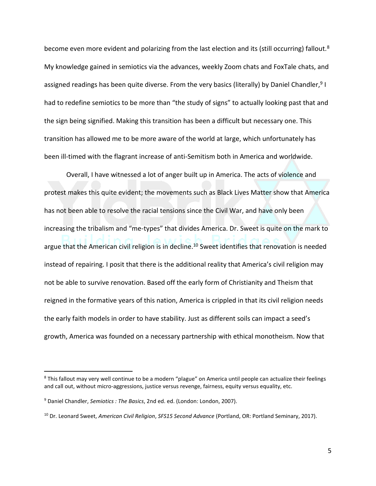become even more evident and polarizing from the last election and its (still occurring) fallout.<sup>8</sup> My knowledge gained in semiotics via the advances, weekly Zoom chats and FoxTale chats, and assigned readings has been quite diverse. From the very basics (literally) by Daniel Chandler,<sup>9</sup> I had to redefine semiotics to be more than "the study of signs" to actually looking past that and the sign being signified. Making this transition has been a difficult but necessary one. This transition has allowed me to be more aware of the world at large, which unfortunately has been ill-timed with the flagrant increase of anti-Semitism both in America and worldwide.

Overall, I have witnessed a lot of anger built up in America. The acts of violence and protest makes this quite evident; the movements such as Black Lives Matter show that America has not been able to resolve the racial tensions since the Civil War, and have only been increasing the tribalism and "me-types" that divides America. Dr. Sweet is quite on the mark to argue that the American civil religion is in decline.<sup>10</sup> Sweet identifies that renovation is needed instead of repairing. I posit that there is the additional reality that America's civil religion may not be able to survive renovation. Based off the early form of Christianity and Theism that reigned in the formative years of this nation, America is crippled in that its civil religion needs the early faith models in order to have stability. Just as different soils can impact a seed's growth, America was founded on a necessary partnership with ethical monotheism. Now that

<sup>&</sup>lt;sup>8</sup> This fallout may very well continue to be a modern "plague" on America until people can actualize their feelings and call out, without micro-aggressions, justice versus revenge, fairness, equity versus equality, etc.

<sup>9</sup> Daniel Chandler, *Semiotics : The Basics*, 2nd ed. ed. (London: London, 2007).

<sup>10</sup> Dr. Leonard Sweet, *American Civil Religion*, *SFS15 Second Advance* (Portland, OR: Portland Seminary, 2017).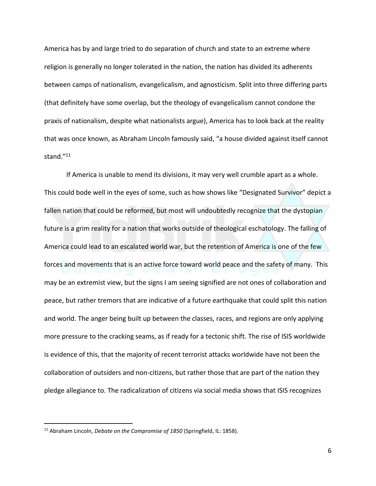America has by and large tried to do separation of church and state to an extreme where religion is generally no longer tolerated in the nation, the nation has divided its adherents between camps of nationalism, evangelicalism, and agnosticism. Split into three differing parts (that definitely have some overlap, but the theology of evangelicalism cannot condone the praxis of nationalism, despite what nationalists argue), America has to look back at the reality that was once known, as Abraham Lincoln famously said, "a house divided against itself cannot stand."<sup>11</sup>

If America is unable to mend its divisions, it may very well crumble apart as a whole. This could bode well in the eyes of some, such as how shows like "Designated Survivor" depict a fallen nation that could be reformed, but most will undoubtedly recognize that the dystopian future is a grim reality for a nation that works outside of theological eschatology. The falling of America could lead to an escalated world war, but the retention of America is one of the few forces and movements that is an active force toward world peace and the safety of many. This may be an extremist view, but the signs I am seeing signified are not ones of collaboration and peace, but rather tremors that are indicative of a future earthquake that could split this nation and world. The anger being built up between the classes, races, and regions are only applying more pressure to the cracking seams, as if ready for a tectonic shift. The rise of ISIS worldwide is evidence of this, that the majority of recent terrorist attacks worldwide have not been the collaboration of outsiders and non-citizens, but rather those that are part of the nation they pledge allegiance to. The radicalization of citizens via social media shows that ISIS recognizes

<sup>11</sup> Abraham Lincoln, *Debate on the Compromise of 1850* (Springfield, IL: 1858).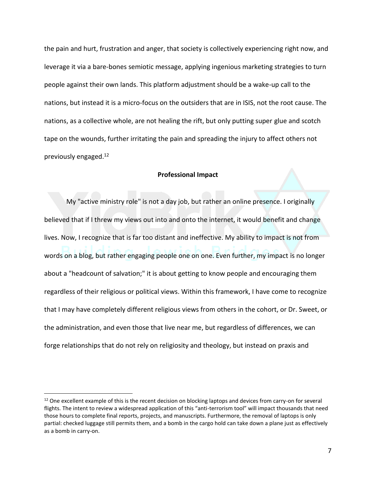the pain and hurt, frustration and anger, that society is collectively experiencing right now, and leverage it via a bare-bones semiotic message, applying ingenious marketing strategies to turn people against their own lands. This platform adjustment should be a wake-up call to the nations, but instead it is a micro-focus on the outsiders that are in ISIS, not the root cause. The nations, as a collective whole, are not healing the rift, but only putting super glue and scotch tape on the wounds, further irritating the pain and spreading the injury to affect others not previously engaged.<sup>12</sup>

#### **Professional Impact**

My "active ministry role" is not a day job, but rather an online presence. I originally believed that if I threw my views out into and onto the internet, it would benefit and change lives. Now, I recognize that is far too distant and ineffective. My ability to impact is not from words on a blog, but rather engaging people one on one. Even further, my impact is no longer about a "headcount of salvation;" it is about getting to know people and encouraging them regardless of their religious or political views. Within this framework, I have come to recognize that I may have completely different religious views from others in the cohort, or Dr. Sweet, or the administration, and even those that live near me, but regardless of differences, we can forge relationships that do not rely on religiosity and theology, but instead on praxis and

 $12$  One excellent example of this is the recent decision on blocking laptops and devices from carry-on for several flights. The intent to review a widespread application of this "anti-terrorism tool" will impact thousands that need those hours to complete final reports, projects, and manuscripts. Furthermore, the removal of laptops is only partial: checked luggage still permits them, and a bomb in the cargo hold can take down a plane just as effectively as a bomb in carry-on.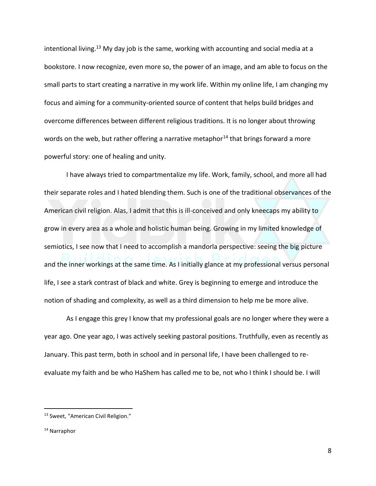intentional living.<sup>13</sup> My day job is the same, working with accounting and social media at a bookstore. I now recognize, even more so, the power of an image, and am able to focus on the small parts to start creating a narrative in my work life. Within my online life, I am changing my focus and aiming for a community-oriented source of content that helps build bridges and overcome differences between different religious traditions. It is no longer about throwing words on the web, but rather offering a narrative metaphor $^{14}$  that brings forward a more powerful story: one of healing and unity.

I have always tried to compartmentalize my life. Work, family, school, and more all had their separate roles and I hated blending them. Such is one of the traditional observances of the American civil religion. Alas, I admit that this is ill-conceived and only kneecaps my ability to grow in every area as a whole and holistic human being. Growing in my limited knowledge of semiotics, I see now that I need to accomplish a mandorla perspective: seeing the big picture and the inner workings at the same time. As I initially glance at my professional versus personal life, I see a stark contrast of black and white. Grey is beginning to emerge and introduce the notion of shading and complexity, as well as a third dimension to help me be more alive.

As I engage this grey I know that my professional goals are no longer where they were a year ago. One year ago, I was actively seeking pastoral positions. Truthfully, even as recently as January. This past term, both in school and in personal life, I have been challenged to reevaluate my faith and be who HaShem has called me to be, not who I think I should be. I will

<sup>13</sup> Sweet, "American Civil Religion."

<sup>&</sup>lt;sup>14</sup> Narraphor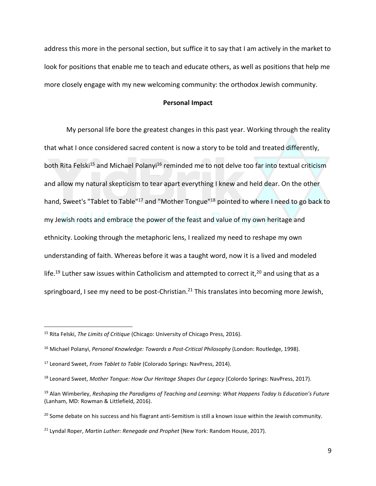address this more in the personal section, but suffice it to say that I am actively in the market to look for positions that enable me to teach and educate others, as well as positions that help me more closely engage with my new welcoming community: the orthodox Jewish community.

# **Personal Impact**

My personal life bore the greatest changes in this past year. Working through the reality that what I once considered sacred content is now a story to be told and treated differently, both Rita Felski<sup>15</sup> and Michael Polanyi<sup>16</sup> reminded me to not delve too far into textual criticism and allow my natural skepticism to tear apart everything I knew and held dear. On the other hand, Sweet's "Tablet to Table"<sup>17</sup> and "Mother Tongue"<sup>18</sup> pointed to where I need to go back to my Jewish roots and embrace the power of the feast and value of my own heritage and ethnicity. Looking through the metaphoric lens, I realized my need to reshape my own understanding of faith. Whereas before it was a taught word, now it is a lived and modeled life.<sup>19</sup> Luther saw issues within Catholicism and attempted to correct it,<sup>20</sup> and using that as a springboard, I see my need to be post-Christian.<sup>21</sup> This translates into becoming more Jewish,

<sup>15</sup> Rita Felski, *The Limits of Critique* (Chicago: University of Chicago Press, 2016).

<sup>16</sup> Michael Polanyi, *Personal Knowledge: Towards a Post-Critical Philosophy* (London: Routledge, 1998).

<sup>17</sup> Leonard Sweet, *From Tablet to Table* (Colorado Springs: NavPress, 2014).

<sup>18</sup> Leonard Sweet, *Mother Tongue: How Our Heritage Shapes Our Legacy* (Colordo Springs: NavPress, 2017).

<sup>19</sup> Alan Wimberley, *Reshaping the Paradigms of Teaching and Learning: What Happens Today Is Education's Future* (Lanham, MD: Rowman & Littlefield, 2016).

<sup>&</sup>lt;sup>20</sup> Some debate on his success and his flagrant anti-Semitism is still a known issue within the Jewish community.

<sup>21</sup> Lyndal Roper, *Martin Luther: Renegade and Prophet* (New York: Random House, 2017).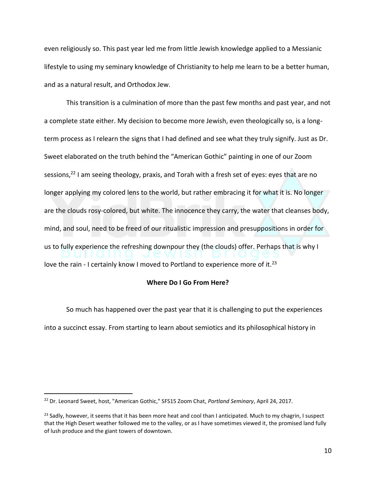even religiously so. This past year led me from little Jewish knowledge applied to a Messianic lifestyle to using my seminary knowledge of Christianity to help me learn to be a better human, and as a natural result, and Orthodox Jew.

This transition is a culmination of more than the past few months and past year, and not a complete state either. My decision to become more Jewish, even theologically so, is a longterm process as I relearn the signs that I had defined and see what they truly signify. Just as Dr. Sweet elaborated on the truth behind the "American Gothic" painting in one of our Zoom sessions,<sup>22</sup> I am seeing theology, praxis, and Torah with a fresh set of eyes: eyes that are no longer applying my colored lens to the world, but rather embracing it for what it is. No longer are the clouds rosy-colored, but white. The innocence they carry, the water that cleanses body, mind, and soul, need to be freed of our ritualistic impression and presuppositions in order for us to fully experience the refreshing downpour they (the clouds) offer. Perhaps that is why I love the rain - I certainly know I moved to Portland to experience more of it.<sup>23</sup>

#### **Where Do I Go From Here?**

So much has happened over the past year that it is challenging to put the experiences into a succinct essay. From starting to learn about semiotics and its philosophical history in

<sup>22</sup> Dr. Leonard Sweet, host, "American Gothic," SFS15 Zoom Chat, *Portland Seminary*, April 24, 2017.

 $^{23}$  Sadly, however, it seems that it has been more heat and cool than I anticipated. Much to my chagrin, I suspect that the High Desert weather followed me to the valley, or as I have sometimes viewed it, the promised land fully of lush produce and the giant towers of downtown.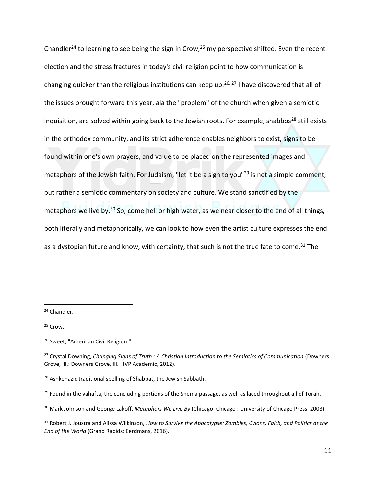Chandler<sup>24</sup> to learning to see being the sign in Crow,<sup>25</sup> my perspective shifted. Even the recent election and the stress fractures in today's civil religion point to how communication is changing quicker than the religious institutions can keep up.<sup>26, 27</sup> I have discovered that all of the issues brought forward this year, ala the "problem" of the church when given a semiotic inquisition, are solved within going back to the Jewish roots. For example, shabbos<sup>28</sup> still exists in the orthodox community, and its strict adherence enables neighbors to exist, signs to be found within one's own prayers, and value to be placed on the represented images and metaphors of the Jewish faith. For Judaism, "let it be a sign to you"<sup>29</sup> is not a simple comment, but rather a semiotic commentary on society and culture. We stand sanctified by the metaphors we live by.<sup>30</sup> So, come hell or high water, as we near closer to the end of all things, both literally and metaphorically, we can look to how even the artist culture expresses the end as a dystopian future and know, with certainty, that such is not the true fate to come.<sup>31</sup> The

<sup>24</sup> Chandler.

<sup>25</sup> Crow.

<sup>26</sup> Sweet, "American Civil Religion."

<sup>27</sup> Crystal Downing, *Changing Signs of Truth : A Christian Introduction to the Semiotics of Communication* (Downers Grove, Ill.: Downers Grove, Ill. : IVP Academic, 2012).

<sup>28</sup> Ashkenazic traditional spelling of Shabbat, the Jewish Sabbath.

 $^{29}$  Found in the vahafta, the concluding portions of the Shema passage, as well as laced throughout all of Torah.

<sup>30</sup> Mark Johnson and George Lakoff, *Metaphors We Live By* (Chicago: Chicago : University of Chicago Press, 2003).

<sup>31</sup> Robert J. Joustra and Alissa Wilkinson, *How to Survive the Apocalypse: Zombies, Cylons, Faith, and Politics at the End of the World* (Grand Rapids: Eerdmans, 2016).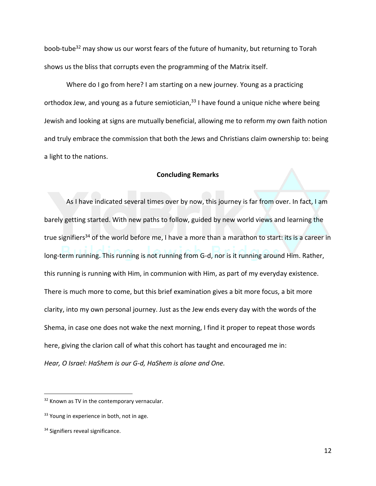boob-tube<sup>32</sup> may show us our worst fears of the future of humanity, but returning to Torah shows us the bliss that corrupts even the programming of the Matrix itself.

Where do I go from here? I am starting on a new journey. Young as a practicing orthodox Jew, and young as a future semiotician,  $33$  I have found a unique niche where being Jewish and looking at signs are mutually beneficial, allowing me to reform my own faith notion and truly embrace the commission that both the Jews and Christians claim ownership to: being a light to the nations.

#### **Concluding Remarks**

As I have indicated several times over by now, this journey is far from over. In fact, I am barely getting started. With new paths to follow, guided by new world views and learning the true signifiers<sup>34</sup> of the world before me, I have a more than a marathon to start: its is a career in long-term running. This running is not running from G-d, nor is it running around Him. Rather, this running is running with Him, in communion with Him, as part of my everyday existence. There is much more to come, but this brief examination gives a bit more focus, a bit more clarity, into my own personal journey. Just as the Jew ends every day with the words of the Shema, in case one does not wake the next morning, I find it proper to repeat those words here, giving the clarion call of what this cohort has taught and encouraged me in: *Hear, O Israel: HaShem is our G-d, HaShem is alone and One.*

<sup>&</sup>lt;sup>32</sup> Known as TV in the contemporary vernacular.

<sup>&</sup>lt;sup>33</sup> Young in experience in both, not in age.

<sup>&</sup>lt;sup>34</sup> Signifiers reveal significance.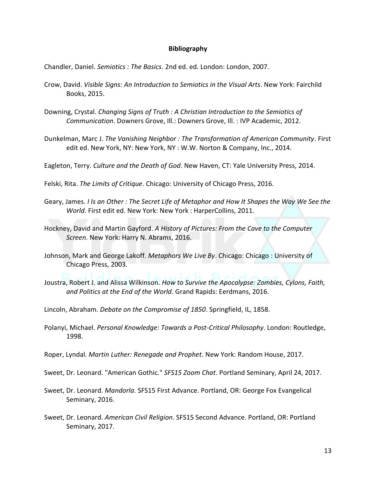## **Bibliography**

Chandler, Daniel. *Semiotics : The Basics*. 2nd ed. ed. London: London, 2007.

- Crow, David. *Visible Signs: An Introduction to Semiotics in the Visual Arts*. New York: Fairchild Books, 2015.
- Downing, Crystal. *Changing Signs of Truth : A Christian Introduction to the Semiotics of Communication*. Downers Grove, Ill.: Downers Grove, Ill. : IVP Academic, 2012.
- Dunkelman, Marc J. *The Vanishing Neighbor : The Transformation of American Community*. First edit ed. New York, NY: New York, NY : W.W. Norton & Company, Inc., 2014.
- Eagleton, Terry. *Culture and the Death of God*. New Haven, CT: Yale University Press, 2014.

Felski, Rita. *The Limits of Critique*. Chicago: University of Chicago Press, 2016.

- Geary, James. *I Is an Other : The Secret Life of Metaphor and How It Shapes the Way We See the World*. First edit ed. New York: New York : HarperCollins, 2011.
- Hockney, David and Martin Gayford. *A History of Pictures: From the Cave to the Computer Screen*. New York: Harry N. Abrams, 2016.
- Johnson, Mark and George Lakoff. *Metaphors We Live By*. Chicago: Chicago : University of Chicago Press, 2003.
- Joustra, Robert J. and Alissa Wilkinson. *How to Survive the Apocalypse: Zombies, Cylons, Faith, and Politics at the End of the World*. Grand Rapids: Eerdmans, 2016.
- Lincoln, Abraham. *Debate on the Compromise of 1850*. Springfield, IL, 1858.
- Polanyi, Michael. *Personal Knowledge: Towards a Post-Critical Philosophy*. London: Routledge, 1998.
- Roper, Lyndal. *Martin Luther: Renegade and Prophet*. New York: Random House, 2017.
- Sweet, Dr. Leonard. "American Gothic." *SFS15 Zoom Chat*. Portland Seminary, April 24, 2017.
- Sweet, Dr. Leonard. *Mandorla*. SFS15 First Advance. Portland, OR: George Fox Evangelical Seminary, 2016.
- Sweet, Dr. Leonard. *American Civil Religion*. SFS15 Second Advance. Portland, OR: Portland Seminary, 2017.